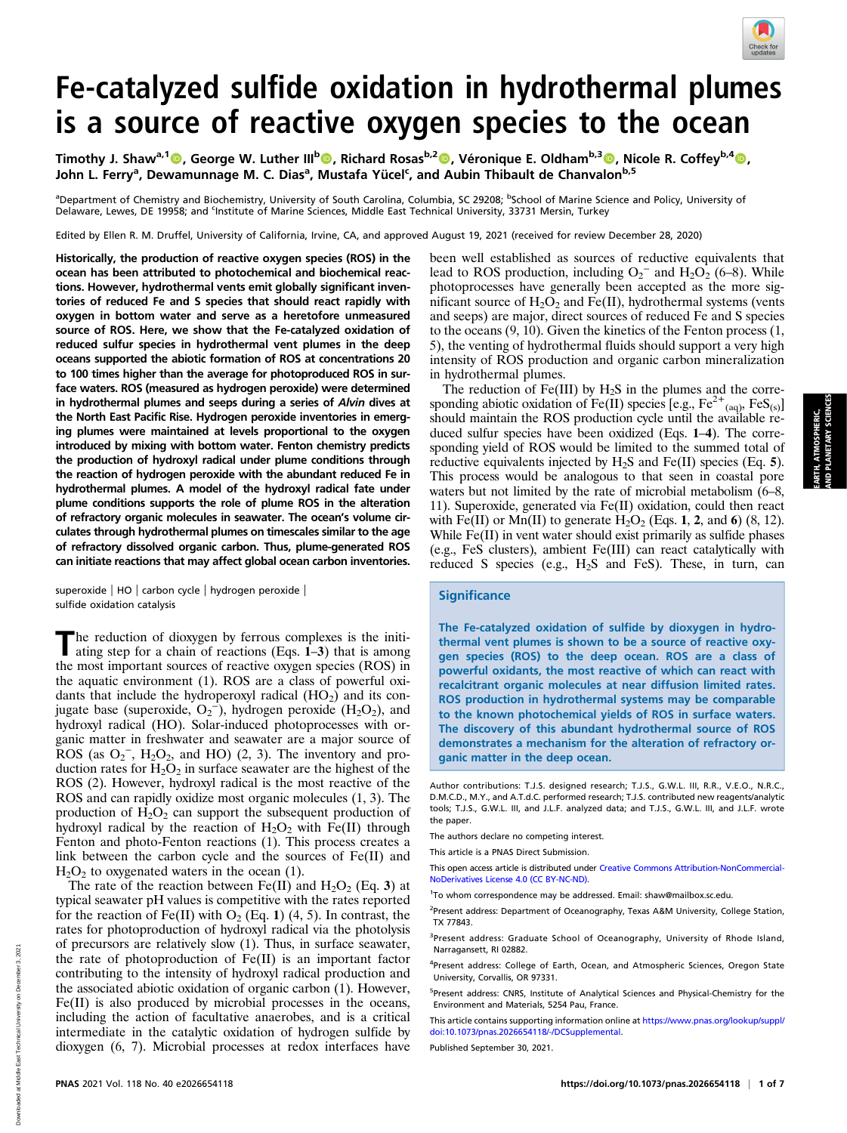

EARTH, ATMOSPHERIC, AND PLANETARY SCIENCES

ARTH, ATMOSPHERIC,<br>ND PLANETARY SCIENCE

# Fe-catalyzed sulfide oxidation in hydrothermal plumes is a source of reactive oxygen species to the ocean

Timothy J. Shaw<sup>a,1</sup>©, George W. Luther III<sup>b</sup>©, Richard Rosas<sup>b,2</sup>©, Véronique E. Oldham<sup>b,3</sup>©, Nicole R. Coffey<sup>b,4</sup>©, John L. Ferry<sup>a</sup>, Dewamunnage M. C. Dias<sup>a</sup>, Mustafa Yücel<sup>c</sup>, and Aubin Thibault de Chanvalon<sup>b,5</sup>

<sup>a</sup>Department of Chemistry and Biochemistry, University of South Carolina, Columbia, SC 29208; <sup>b</sup>School of Marine Science and Policy, University of Delaware, Lewes, DE 19958; and <sup>c</sup>institute of Marine Sciences, Middle East Technical University, 33731 Mersin, Turkey

Edited by Ellen R. M. Druffel, University of California, Irvine, CA, and approved August 19, 2021 (received for review December 28, 2020)

Historically, the production of reactive oxygen species (ROS) in the ocean has been attributed to photochemical and biochemical reactions. However, hydrothermal vents emit globally significant inventories of reduced Fe and S species that should react rapidly with oxygen in bottom water and serve as a heretofore unmeasured source of ROS. Here, we show that the Fe-catalyzed oxidation of reduced sulfur species in hydrothermal vent plumes in the deep oceans supported the abiotic formation of ROS at concentrations 20 to 100 times higher than the average for photoproduced ROS in surface waters. ROS (measured as hydrogen peroxide) were determined in hydrothermal plumes and seeps during a series of Alvin dives at the North East Pacific Rise. Hydrogen peroxide inventories in emerging plumes were maintained at levels proportional to the oxygen introduced by mixing with bottom water. Fenton chemistry predicts the production of hydroxyl radical under plume conditions through the reaction of hydrogen peroxide with the abundant reduced Fe in hydrothermal plumes. A model of the hydroxyl radical fate under plume conditions supports the role of plume ROS in the alteration of refractory organic molecules in seawater. The ocean's volume circulates through hydrothermal plumes on timescales similar to the age of refractory dissolved organic carbon. Thus, plume-generated ROS can initiate reactions that may affect global ocean carbon inventories.

superoxide | HO | carbon cycle | hydrogen peroxide | sulfide oxidation catalysis

The reduction of dioxygen by ferrous complexes is the initiating step for a chain of reactions (Eqs. 1–3) that is among the most important sources of reactive oxygen species (ROS) in the aquatic environment (1). ROS are a class of powerful oxidants that include the hydroperoxyl radical  $(HO<sub>2</sub>)$  and its conjugate base (superoxide,  $O_2$ <sup>-</sup>), hydrogen peroxide (H<sub>2</sub>O<sub>2</sub>), and hydroxyl radical (HO). Solar-induced photoprocesses with organic matter in freshwater and seawater are a major source of ROS (as  $O_2^-$ ,  $H_2O_2$ , and HO) (2, 3). The inventory and production rates for  $H_2O_2$  in surface seawater are the highest of the ROS (2). However, hydroxyl radical is the most reactive of the ROS and can rapidly oxidize most organic molecules (1, 3). The production of  $H_2O_2$  can support the subsequent production of hydroxyl radical by the reaction of  $H_2O_2$  with Fe(II) through Fenton and photo-Fenton reactions (1). This process creates a link between the carbon cycle and the sources of Fe(II) and  $H<sub>2</sub>O<sub>2</sub>$  to oxygenated waters in the ocean (1).

The rate of the reaction between Fe(II) and  $H_2O_2$  (Eq. 3) at typical seawater pH values is competitive with the rates reported for the reaction of Fe(II) with  $O_2$  (Eq. 1) (4, 5). In contrast, the rates for photoproduction of hydroxyl radical via the photolysis of precursors are relatively slow (1). Thus, in surface seawater, the rate of photoproduction of Fe(II) is an important factor contributing to the intensity of hydroxyl radical production and the associated abiotic oxidation of organic carbon (1). However, Fe(II) is also produced by microbial processes in the oceans, including the action of facultative anaerobes, and is a critical intermediate in the catalytic oxidation of hydrogen sulfide by dioxygen (6, 7). Microbial processes at redox interfaces have been well established as sources of reductive equivalents that lead to ROS production, including  $O_2^-$  and  $H_2O_2$  (6–8). While photoprocesses have generally been accepted as the more significant source of  $H_2O_2$  and Fe(II), hydrothermal systems (vents and seeps) are major, direct sources of reduced Fe and S species to the oceans (9, 10). Given the kinetics of the Fenton process (1, 5), the venting of hydrothermal fluids should support a very high intensity of ROS production and organic carbon mineralization in hydrothermal plumes.

The reduction of Fe(III) by  $H_2S$  in the plumes and the corresponding abiotic oxidation of Fe(II) species [e.g.,  $Fe^{2+}$ <sub>(aq)</sub>,  $FeS_{(s)}$ ] should maintain the ROS production cycle until the available reduced sulfur species have been oxidized (Eqs. 1–4). The corresponding yield of ROS would be limited to the summed total of reductive equivalents injected by  $H_2S$  and Fe(II) species (Eq. 5). This process would be analogous to that seen in coastal pore waters but not limited by the rate of microbial metabolism (6–8, 11). Superoxide, generated via Fe(II) oxidation, could then react with Fe(II) or Mn(II) to generate  $H_2O_2$  (Eqs. 1, 2, and 6) (8, 12). While Fe(II) in vent water should exist primarily as sulfide phases (e.g., FeS clusters), ambient Fe(III) can react catalytically with reduced S species (e.g.,  $H_2S$  and FeS). These, in turn, can

### **Significance**

The Fe-catalyzed oxidation of sulfide by dioxygen in hydrothermal vent plumes is shown to be a source of reactive oxygen species (ROS) to the deep ocean. ROS are a class of powerful oxidants, the most reactive of which can react with recalcitrant organic molecules at near diffusion limited rates. ROS production in hydrothermal systems may be comparable to the known photochemical yields of ROS in surface waters. The discovery of this abundant hydrothermal source of ROS demonstrates a mechanism for the alteration of refractory organic matter in the deep ocean.

Author contributions: T.J.S. designed research; T.J.S., G.W.L. III, R.R., V.E.O., N.R.C., D.M.C.D., M.Y., and A.T.d.C. performed research; T.J.S. contributed new reagents/analytic tools; T.J.S., G.W.L. III, and J.L.F. analyzed data; and T.J.S., G.W.L. III, and J.L.F. wrote the paper.

This article is a PNAS Direct Submission.

This open access article is distributed under [Creative Commons Attribution-NonCommercial-](https://creativecommons.org/licenses/by-nc-nd/4.0/)[NoDerivatives License 4.0 \(CC BY-NC-ND\).](https://creativecommons.org/licenses/by-nc-nd/4.0/)

<sup>2</sup>Present address: Department of Oceanography, Texas A&M University, College Station, TX 77843.

<sup>3</sup>Present address: Graduate School of Oceanography, University of Rhode Island, Narragansett, RI 02882.

<sup>4</sup>Present address: College of Earth, Ocean, and Atmospheric Sciences, Oregon State University, Corvallis, OR 97331.

<sup>5</sup>Present address: CNRS, Institute of Analytical Sciences and Physical-Chemistry for the Environment and Materials, 5254 Pau, France.

This article contains supporting information online at [https://www.pnas.org/lookup/suppl/](https://www.pnas.org/lookup/suppl/doi:10.1073/pnas.2026654118/-/DCSupplemental) [doi:10.1073/pnas.2026654118/-/DCSupplemental.](https://www.pnas.org/lookup/suppl/doi:10.1073/pnas.2026654118/-/DCSupplemental)

Published September 30, 2021.

The authors declare no competing interest.

<sup>&</sup>lt;sup>1</sup>To whom correspondence may be addressed. Email: [shaw@mailbox.sc.edu.](mailto:shaw@mailbox.sc.edu)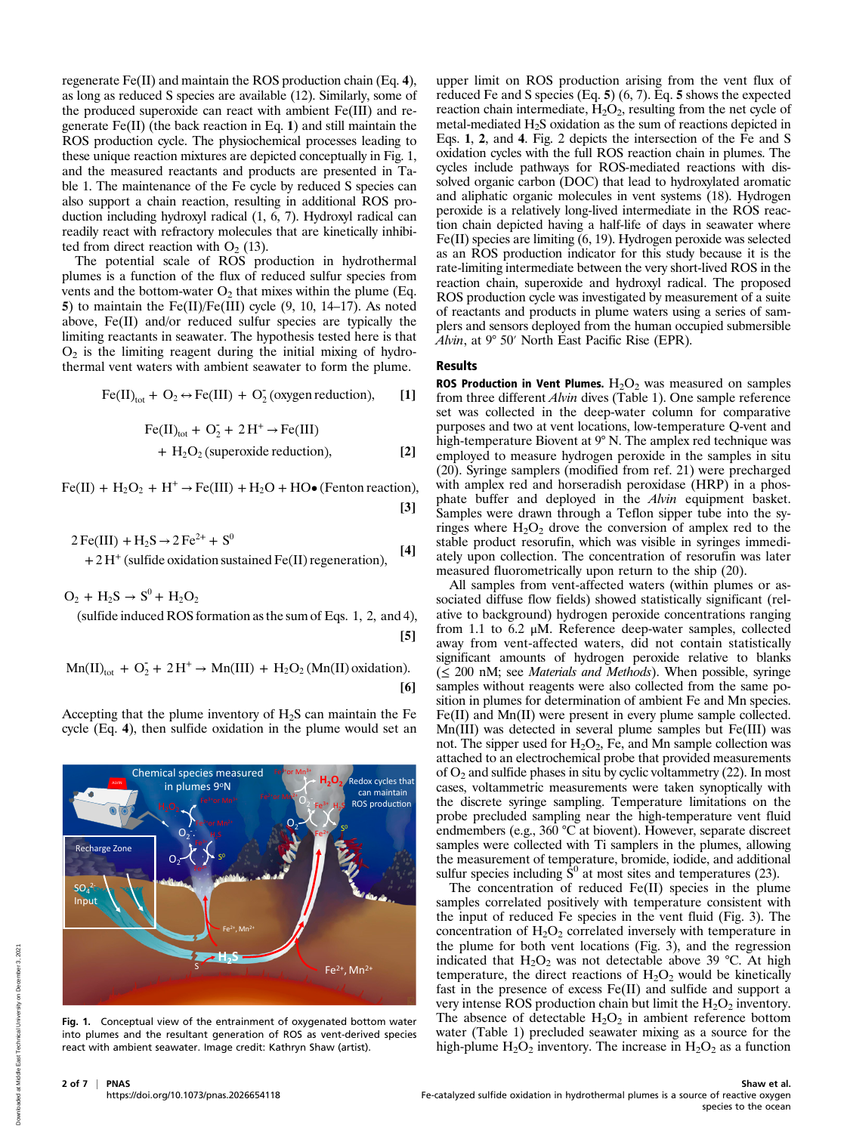regenerate Fe(II) and maintain the ROS production chain (Eq. 4), as long as reduced S species are available (12). Similarly, some of the produced superoxide can react with ambient Fe(III) and regenerate Fe(II) (the back reaction in Eq. 1) and still maintain the ROS production cycle. The physiochemical processes leading to these unique reaction mixtures are depicted conceptually in Fig. 1, and the measured reactants and products are presented in Table 1. The maintenance of the Fe cycle by reduced S species can also support a chain reaction, resulting in additional ROS production including hydroxyl radical (1, 6, 7). Hydroxyl radical can readily react with refractory molecules that are kinetically inhibited from direct reaction with  $O_2$  (13).

The potential scale of ROS production in hydrothermal plumes is a function of the flux of reduced sulfur species from vents and the bottom-water  $O_2$  that mixes within the plume (Eq. 5) to maintain the Fe(II)/Fe(III) cycle (9, 10, 14–17). As noted above, Fe(II) and/or reduced sulfur species are typically the limiting reactants in seawater. The hypothesis tested here is that  $O<sub>2</sub>$  is the limiting reagent during the initial mixing of hydrothermal vent waters with ambient seawater to form the plume.

$$
\text{Fe(II)}_{\text{tot}} + O_2 \leftrightarrow \text{Fe(III)} + O_2^{\text{}} \text{(oxygen reduction)}, \qquad \text{[1]}
$$

$$
\text{Fe(II)}_{\text{tot}} + \text{O}_2^- + 2\text{H}^+ \rightarrow \text{Fe(III)} + \text{H}_2\text{O}_2 \text{ (superoxide reduction)}, \tag{2}
$$

 $Fe(II) + H_2O_2 + H^+ \rightarrow Fe(III) + H_2O + HO\bullet$  (Fenton reaction), [3]

$$
2 \text{Fe(III)} + \text{H}_2\text{S} \rightarrow 2 \text{Fe}^{2+} + \text{S}^{0}
$$
  
+ 2 H<sup>+</sup> (sulfide oxidation sustained Fe(II) regeneration), [4]

 $O_2 + H_2S \rightarrow S^0 + H_2O_2$ 

(sulfide induced ROS formation as the sum of Eqs. 1, 2, and 4), [5]

$$
Mn(II)_{tot} + O_2^- + 2H^+ \rightarrow Mn(III) + H_2O_2(Mn(II) oxidation).
$$
\n[6]





Fig. 1. Conceptual view of the entrainment of oxygenated bottom water into plumes and the resultant generation of ROS as vent-derived species react with ambient seawater. Image credit: Kathryn Shaw (artist).

upper limit on ROS production arising from the vent flux of reduced Fe and S species (Eq. 5) (6, 7). Eq. 5 shows the expected reaction chain intermediate,  $\hat{H}_2O_2$ , resulting from the net cycle of metal-mediated H2S oxidation as the sum of reactions depicted in Eqs. 1, 2, and 4. Fig. 2 depicts the intersection of the Fe and S oxidation cycles with the full ROS reaction chain in plumes. The cycles include pathways for ROS-mediated reactions with dissolved organic carbon (DOC) that lead to hydroxylated aromatic and aliphatic organic molecules in vent systems (18). Hydrogen peroxide is a relatively long-lived intermediate in the ROS reaction chain depicted having a half-life of days in seawater where Fe(II) species are limiting (6, 19). Hydrogen peroxide was selected as an ROS production indicator for this study because it is the rate-limiting intermediate between the very short-lived ROS in the reaction chain, superoxide and hydroxyl radical. The proposed ROS production cycle was investigated by measurement of a suite of reactants and products in plume waters using a series of samplers and sensors deployed from the human occupied submersible Alvin, at 9° 50′ North East Pacific Rise (EPR).

### Results

ROS Production in Vent Plumes.  $H_2O_2$  was measured on samples from three different Alvin dives (Table 1). One sample reference set was collected in the deep-water column for comparative purposes and two at vent locations, low-temperature Q-vent and high-temperature Biovent at 9° N. The amplex red technique was employed to measure hydrogen peroxide in the samples in situ (20). Syringe samplers (modified from ref. 21) were precharged with amplex red and horseradish peroxidase (HRP) in a phosphate buffer and deployed in the Alvin equipment basket. Samples were drawn through a Teflon sipper tube into the syringes where  $H_2O_2$  drove the conversion of amplex red to the stable product resorufin, which was visible in syringes immediately upon collection. The concentration of resorufin was later measured fluorometrically upon return to the ship (20).

All samples from vent-affected waters (within plumes or associated diffuse flow fields) showed statistically significant (relative to background) hydrogen peroxide concentrations ranging from 1.1 to 6.2 μM. Reference deep-water samples, collected away from vent-affected waters, did not contain statistically significant amounts of hydrogen peroxide relative to blanks  $(\leq 200 \text{ nM})$ ; see *Materials and Methods*). When possible, syringe samples without reagents were also collected from the same position in plumes for determination of ambient Fe and Mn species. Fe(II) and Mn(II) were present in every plume sample collected. Mn(III) was detected in several plume samples but Fe(III) was not. The sipper used for  $H_2O_2$ , Fe, and Mn sample collection was attached to an electrochemical probe that provided measurements of  $O_2$  and sulfide phases in situ by cyclic voltammetry (22). In most cases, voltammetric measurements were taken synoptically with the discrete syringe sampling. Temperature limitations on the probe precluded sampling near the high-temperature vent fluid endmembers (e.g., 360 °C at biovent). However, separate discreet samples were collected with Ti samplers in the plumes, allowing the measurement of temperature, bromide, iodide, and additional sulfur species including  $\dot{S}^0$  at most sites and temperatures (23).

The concentration of reduced Fe(II) species in the plume samples correlated positively with temperature consistent with the input of reduced Fe species in the vent fluid (Fig. 3). The concentration of  $H_2O_2$  correlated inversely with temperature in the plume for both vent locations (Fig. 3), and the regression indicated that  $H_2O_2$  was not detectable above 39 °C. At high temperature, the direct reactions of  $H_2O_2$  would be kinetically fast in the presence of excess Fe(II) and sulfide and support a very intense ROS production chain but limit the  $H_2O_2$  inventory. The absence of detectable  $H_2O_2$  in ambient reference bottom water (Table 1) precluded seawater mixing as a source for the high-plume  $H_2O_2$  inventory. The increase in  $H_2O_2$  as a function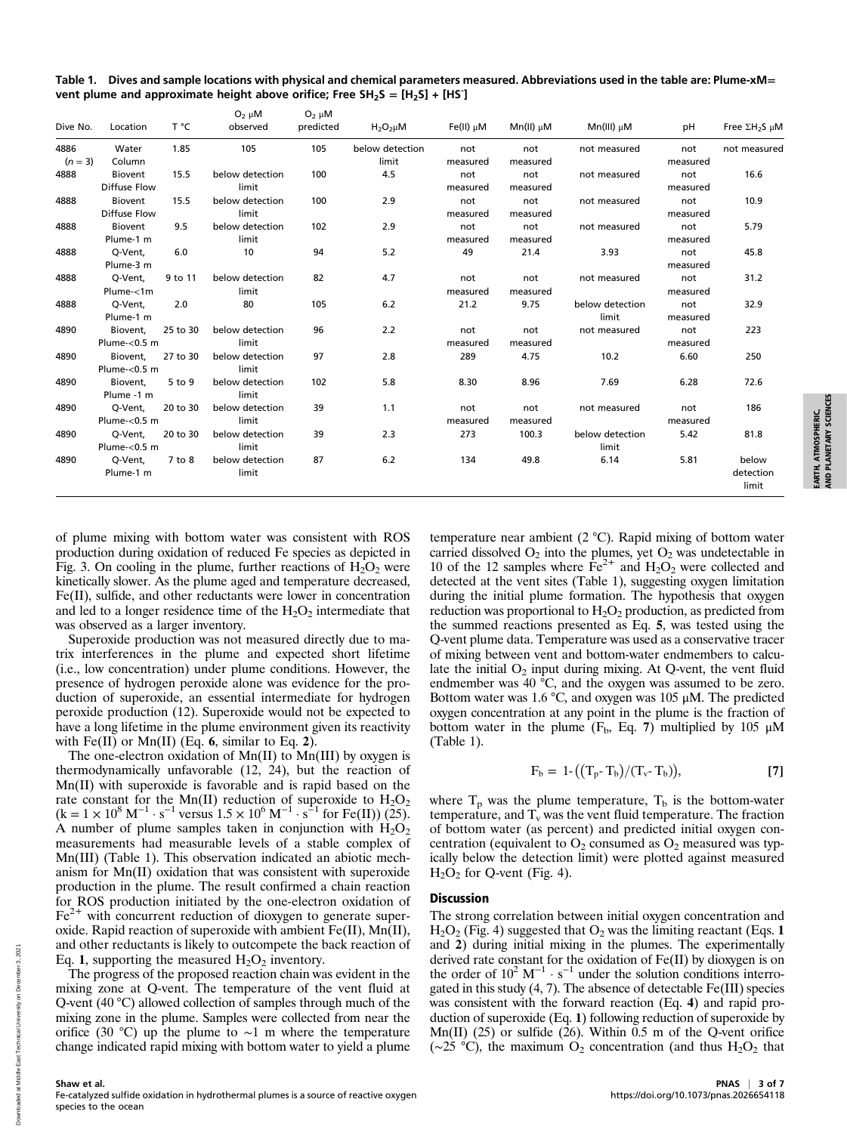Table 1. Dives and sample locations with physical and chemical parameters measured. Abbreviations used in the table are: Plume-xM= vent plume and approximate height above orifice; Free SH<sub>2</sub>S =  $[H_2S] + [HS]$ 

| Dive No.          | Location         | T °C       | $O_2 \mu M$<br>observed | $O_2$ $\mu$ M<br>predicted | $H_2O_2\mu M$   | $Fe(II) \mu M$ | $Mn(II)$ $\mu$ M | $Mn(III)$ µM    | рH       | Free $\Sigma H_2S$ $\mu$ M |
|-------------------|------------------|------------|-------------------------|----------------------------|-----------------|----------------|------------------|-----------------|----------|----------------------------|
| 4886<br>$(n = 3)$ | Water            | 1.85       | 105                     | 105                        | below detection | not            | not              | not measured    | not      | not measured               |
|                   | Column           |            |                         |                            | limit           | measured       | measured         |                 | measured |                            |
| 4888              | Biovent          | 15.5       | below detection         | 100                        | 4.5             | not            | not              | not measured    | not      | 16.6                       |
|                   | Diffuse Flow     |            | limit                   |                            |                 | measured       | measured         |                 | measured |                            |
| 4888              | Biovent          | 15.5       | below detection         | 100                        | 2.9             | not            | not              | not measured    | not      | 10.9                       |
|                   | Diffuse Flow     |            | limit                   |                            |                 | measured       | measured         |                 | measured |                            |
| 4888              | Biovent          | 9.5        | below detection         | 102                        | 2.9             | not            | not              | not measured    | not      | 5.79                       |
|                   | Plume-1 m        |            | limit                   |                            |                 | measured       | measured         |                 | measured |                            |
| 4888              | Q-Vent,          | 6.0        | 10                      | 94                         | 5.2             | 49             | 21.4             | 3.93            | not      | 45.8                       |
|                   | Plume-3 m        |            |                         |                            |                 |                |                  |                 | measured |                            |
| 4888              | Q-Vent,          | 9 to 11    | below detection         | 82                         | 4.7             | not            | not              | not measured    | not      | 31.2                       |
|                   | Plume-<1m        |            | limit                   |                            |                 | measured       | measured         |                 | measured |                            |
| 4888              | Q-Vent,          | 2.0        | 80                      | 105                        | 6.2             | 21.2           | 9.75             | below detection | not      | 32.9                       |
|                   | Plume-1 m        |            |                         |                            |                 |                |                  | limit           | measured |                            |
| 4890              | Biovent,         | 25 to 30   | below detection         | 96                         | 2.2             | not            | not              | not measured    | not      | 223                        |
|                   | Plume- $<$ 0.5 m |            | limit                   |                            |                 | measured       | measured         |                 | measured |                            |
| 4890              | Biovent,         | 27 to 30   | below detection         | 97                         | 2.8             | 289            | 4.75             | 10.2            | 6.60     | 250                        |
|                   | Plume- $<$ 0.5 m |            | limit                   |                            |                 |                |                  |                 |          |                            |
| 4890              | Biovent.         | 5 to 9     | below detection         | 102                        | 5.8             | 8.30           | 8.96             | 7.69            | 6.28     | 72.6                       |
|                   | Plume -1 m       |            | limit                   |                            |                 |                |                  |                 |          |                            |
| 4890              | Q-Vent,          | 20 to 30   | below detection         | 39                         | 1.1             | not            | not              | not measured    | not      | 186                        |
|                   | Plume- $<$ 0.5 m |            | limit                   |                            |                 | measured       | measured         |                 | measured |                            |
| 4890              | Q-Vent,          | 20 to 30   | below detection         | 39                         | 2.3             | 273            | 100.3            | below detection | 5.42     | 81.8                       |
|                   | Plume- $<$ 0.5 m |            | limit                   |                            |                 |                |                  | limit           |          |                            |
| 4890              | Q-Vent,          | $7$ to $8$ | below detection         | 87                         | 6.2             | 134            | 49.8             | 6.14            | 5.81     | below                      |
|                   | Plume-1 m        |            | limit                   |                            |                 |                |                  |                 |          | detection<br>limit         |

of plume mixing with bottom water was consistent with ROS production during oxidation of reduced Fe species as depicted in Fig. 3. On cooling in the plume, further reactions of  $H_2O_2$  were kinetically slower. As the plume aged and temperature decreased, Fe(II), sulfide, and other reductants were lower in concentration and led to a longer residence time of the  $H_2O_2$  intermediate that was observed as a larger inventory.

Superoxide production was not measured directly due to matrix interferences in the plume and expected short lifetime (i.e., low concentration) under plume conditions. However, the presence of hydrogen peroxide alone was evidence for the production of superoxide, an essential intermediate for hydrogen peroxide production (12). Superoxide would not be expected to have a long lifetime in the plume environment given its reactivity with  $Fe(II)$  or Mn(II) (Eq. 6, similar to Eq. 2).

The one-electron oxidation of Mn(II) to Mn(III) by oxygen is thermodynamically unfavorable (12, 24), but the reaction of Mn(II) with superoxide is favorable and is rapid based on the rate constant for the Mn(II) reduction of superoxide to  $H_2O_2$  $(k = 1 \times 10^8 \text{ M}^{-1} \cdot \text{s}^{-1} \text{ versus } 1.5 \times 10^6 \text{ M}^{-1} \cdot \text{s}^{-1} \text{ for Fe(II)} (\overline{25}).$ A number of plume samples taken in conjunction with  $H_2O_2$ measurements had measurable levels of a stable complex of Mn(III) (Table 1). This observation indicated an abiotic mechanism for Mn(II) oxidation that was consistent with superoxide production in the plume. The result confirmed a chain reaction for ROS production initiated by the one-electron oxidation of  $Fe<sup>2+</sup>$  with concurrent reduction of dioxygen to generate superoxide. Rapid reaction of superoxide with ambient  $Fe(II)$ ,  $Mn(II)$ , and other reductants is likely to outcompete the back reaction of Eq. 1, supporting the measured  $H_2O_2$  inventory.

The progress of the proposed reaction chain was evident in the mixing zone at Q-vent. The temperature of the vent fluid at Q-vent (40 °C) allowed collection of samples through much of the mixing zone in the plume. Samples were collected from near the orifice (30 °C) up the plume to ∼1 m where the temperature change indicated rapid mixing with bottom water to yield a plume

temperature near ambient (2 °C). Rapid mixing of bottom water carried dissolved  $O_2$  into the plumes, yet  $O_2$  was undetectable in 10 of the 12 samples where  $Fe^{2+}$  and  $H_2O_2$  were collected and detected at the vent sites (Table 1), suggesting oxygen limitation during the initial plume formation. The hypothesis that oxygen reduction was proportional to  $H_2O_2$  production, as predicted from the summed reactions presented as Eq. 5, was tested using the Q-vent plume data. Temperature was used as a conservative tracer of mixing between vent and bottom-water endmembers to calculate the initial  $O_2$  input during mixing. At Q-vent, the vent fluid endmember was 40 °C, and the oxygen was assumed to be zero. Bottom water was 1.6 °C, and oxygen was 105  $\mu$ M. The predicted oxygen concentration at any point in the plume is the fraction of bottom water in the plume  $(F_b, Eq. 7)$  multiplied by 105  $\mu$ M (Table 1).

$$
F_b = 1 \cdot ((T_p \cdot T_b)/(T_v \cdot T_b)), \qquad \qquad [7]
$$

where  $T_p$  was the plume temperature,  $T_b$  is the bottom-water temperature, and  $T_v$  was the vent fluid temperature. The fraction of bottom water (as percent) and predicted initial oxygen concentration (equivalent to  $O_2$  consumed as  $O_2$  measured was typically below the detection limit) were plotted against measured  $H<sub>2</sub>O<sub>2</sub>$  for Q-vent (Fig. 4).

## Discussion

The strong correlation between initial oxygen concentration and  $H<sub>2</sub>O<sub>2</sub>$  (Fig. 4) suggested that  $O<sub>2</sub>$  was the limiting reactant (Eqs. 1) and 2) during initial mixing in the plumes. The experimentally derived rate constant for the oxidation of Fe(II) by dioxygen is on the order of  $10^2 \text{ M}^{-1} \cdot \text{s}^{-1}$  under the solution conditions interrogated in this study (4, 7). The absence of detectable Fe(III) species was consistent with the forward reaction (Eq. 4) and rapid production of superoxide (Eq. 1) following reduction of superoxide by Mn(II) (25) or sulfide (26). Within  $0.5$  m of the Q-vent orifice (~25 °C), the maximum O<sub>2</sub> concentration (and thus H<sub>2</sub>O<sub>2</sub> that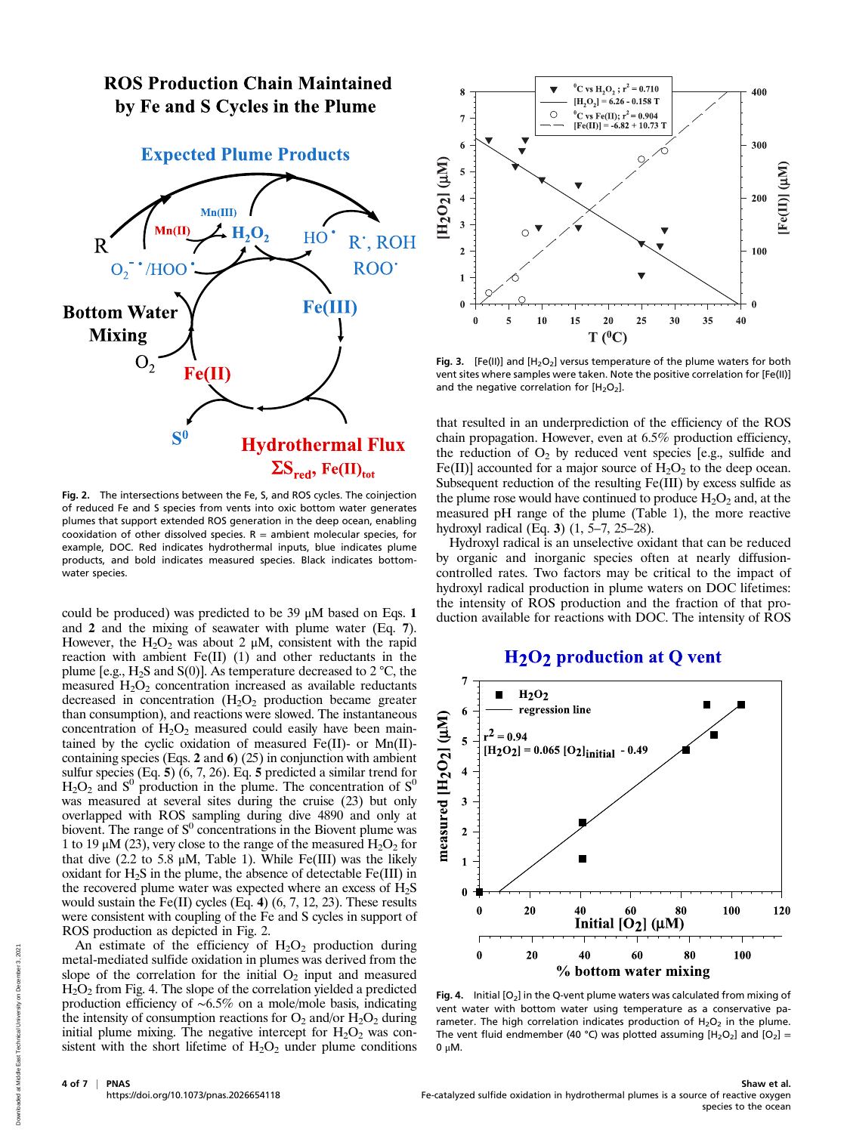# **ROS Production Chain Maintained** by Fe and S Cycles in the Plume



Fig. 2. The intersections between the Fe, S, and ROS cycles. The coinjection of reduced Fe and S species from vents into oxic bottom water generates plumes that support extended ROS generation in the deep ocean, enabling cooxidation of other dissolved species.  $R =$  ambient molecular species, for example, DOC. Red indicates hydrothermal inputs, blue indicates plume products, and bold indicates measured species. Black indicates bottomwater species.

could be produced) was predicted to be 39 μM based on Eqs. 1 and 2 and the mixing of seawater with plume water (Eq. 7). However, the  $H_2O_2$  was about 2  $\mu$ M, consistent with the rapid reaction with ambient  $Fe(II)$  (1) and other reductants in the plume [e.g.,  $H_2S$  and  $S(0)$ ]. As temperature decreased to 2 °C, the measured  $H_2O_2$  concentration increased as available reductants decreased in concentration  $(H_2O_2)$  production became greater than consumption), and reactions were slowed. The instantaneous concentration of  $H_2O_2$  measured could easily have been maintained by the cyclic oxidation of measured Fe(II)- or Mn(II)containing species (Eqs. 2 and 6) (25) in conjunction with ambient sulfur species (Eq. 5) (6, 7, 26). Eq. 5 predicted a similar trend for  $H_2O_2$  and  $S^0$  production in the plume. The concentration of  $S^0$ was measured at several sites during the cruise (23) but only overlapped with ROS sampling during dive 4890 and only at biovent. The range of  $S^0$  concentrations in the Biovent plume was 1 to 19  $\mu$ M (23), very close to the range of the measured  $H_2O_2$  for that dive  $(2.2 \text{ to } 5.8 \mu\text{M}, \text{Table 1}).$  While Fe(III) was the likely oxidant for  $H_2S$  in the plume, the absence of detectable  $Fe(III)$  in the recovered plume water was expected where an excess of  $H_2S$ would sustain the Fe(II) cycles (Eq. 4) (6, 7, 12, 23). These results were consistent with coupling of the Fe and S cycles in support of ROS production as depicted in Fig. 2.

An estimate of the efficiency of  $H_2O_2$  production during metal-mediated sulfide oxidation in plumes was derived from the slope of the correlation for the initial  $O<sub>2</sub>$  input and measured H2O2 from Fig. 4. The slope of the correlation yielded a predicted production efficiency of ∼6.5% on a mole/mole basis, indicating the intensity of consumption reactions for  $O_2$  and/or  $H_2O_2$  during initial plume mixing. The negative intercept for  $H_2O_2$  was consistent with the short lifetime of  $H_2O_2$  under plume conditions



Fig. 3. [Fe(II)] and  $[H_2O_2]$  versus temperature of the plume waters for both vent sites where samples were taken. Note the positive correlation for [Fe(II)] and the negative correlation for  $[H_2O_2]$ .

that resulted in an underprediction of the efficiency of the ROS chain propagation. However, even at 6.5% production efficiency, the reduction of  $O_2$  by reduced vent species [e.g., sulfide and Fe(II)] accounted for a major source of  $H_2O_2$  to the deep ocean. Subsequent reduction of the resulting Fe(III) by excess sulfide as the plume rose would have continued to produce  $H_2O_2$  and, at the measured pH range of the plume (Table 1), the more reactive hydroxyl radical (Eq. 3) (1, 5–7, 25–28).

Hydroxyl radical is an unselective oxidant that can be reduced by organic and inorganic species often at nearly diffusioncontrolled rates. Two factors may be critical to the impact of hydroxyl radical production in plume waters on DOC lifetimes: the intensity of ROS production and the fraction of that production available for reactions with DOC. The intensity of ROS

# H<sub>2</sub>O<sub>2</sub> production at Q vent



Fig. 4. Initial  $[O_2]$  in the Q-vent plume waters was calculated from mixing of vent water with bottom water using temperature as a conservative parameter. The high correlation indicates production of  $H_2O_2$  in the plume. The vent fluid endmember (40 °C) was plotted assuming  $[H_2O_2]$  and  $[O_2]$  = 0 μM.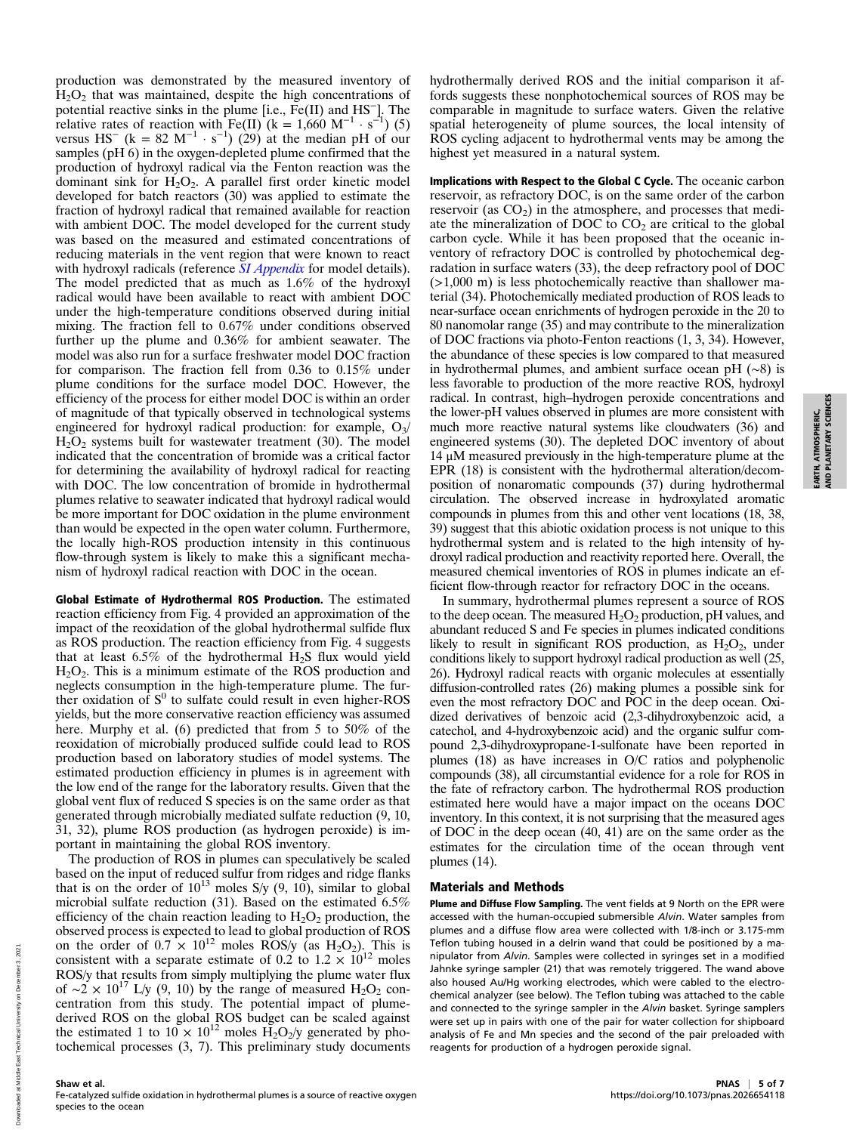production was demonstrated by the measured inventory of  $H<sub>2</sub>O<sub>2</sub>$  that was maintained, despite the high concentrations of potential reactive sinks in the plume [i.e., Fe(II) and HS−]. The relative rates of reaction with  $Fe(II)$  (k = 1,660 M<sup>-1</sup> · s<sup>-1</sup>) (5) versus HS<sup>-</sup> (k = 82 M<sup>-1</sup> · s<sup>-1</sup>) (29) at the median pH of our samples (pH 6) in the oxygen-depleted plume confirmed that the production of hydroxyl radical via the Fenton reaction was the dominant sink for  $H_2O_2$ . A parallel first order kinetic model developed for batch reactors (30) was applied to estimate the fraction of hydroxyl radical that remained available for reaction with ambient DOC. The model developed for the current study was based on the measured and estimated concentrations of reducing materials in the vent region that were known to react with hydroxyl radicals (reference [SI Appendix](https://www.pnas.org/lookup/suppl/doi:10.1073/pnas.2026654118/-/DCSupplemental) for model details). The model predicted that as much as 1.6% of the hydroxyl radical would have been available to react with ambient DOC under the high-temperature conditions observed during initial mixing. The fraction fell to 0.67% under conditions observed further up the plume and 0.36% for ambient seawater. The model was also run for a surface freshwater model DOC fraction for comparison. The fraction fell from 0.36 to 0.15% under plume conditions for the surface model DOC. However, the efficiency of the process for either model DOC is within an order of magnitude of that typically observed in technological systems engineered for hydroxyl radical production: for example,  $O_3/$  $H<sub>2</sub>O<sub>2</sub>$  systems built for wastewater treatment (30). The model indicated that the concentration of bromide was a critical factor for determining the availability of hydroxyl radical for reacting with DOC. The low concentration of bromide in hydrothermal plumes relative to seawater indicated that hydroxyl radical would be more important for DOC oxidation in the plume environment than would be expected in the open water column. Furthermore, the locally high-ROS production intensity in this continuous flow-through system is likely to make this a significant mechanism of hydroxyl radical reaction with DOC in the ocean.

Global Estimate of Hydrothermal ROS Production. The estimated reaction efficiency from Fig. 4 provided an approximation of the impact of the reoxidation of the global hydrothermal sulfide flux as ROS production. The reaction efficiency from Fig. 4 suggests that at least  $6.5\%$  of the hydrothermal H<sub>2</sub>S flux would yield  $H_2O_2$ . This is a minimum estimate of the ROS production and neglects consumption in the high-temperature plume. The further oxidation of  $S^0$  to sulfate could result in even higher-ROS yields, but the more conservative reaction efficiency was assumed here. Murphy et al. (6) predicted that from 5 to 50% of the reoxidation of microbially produced sulfide could lead to ROS production based on laboratory studies of model systems. The estimated production efficiency in plumes is in agreement with the low end of the range for the laboratory results. Given that the global vent flux of reduced S species is on the same order as that generated through microbially mediated sulfate reduction (9, 10, 31, 32), plume ROS production (as hydrogen peroxide) is important in maintaining the global ROS inventory.

The production of ROS in plumes can speculatively be scaled based on the input of reduced sulfur from ridges and ridge flanks that is on the order of  $10^{13}$  moles S/y  $(9, 10)$ , similar to global microbial sulfate reduction (31). Based on the estimated 6.5% efficiency of the chain reaction leading to  $H_2O_2$  production, the observed process is expected to lead to global production of ROS on the order of  $0.7 \times 10^{12}$  moles ROS/y (as H<sub>2</sub>O<sub>2</sub>). This is consistent with a separate estimate of 0.2 to 1.2  $\times$  10<sup>12</sup> moles ROS/y that results from simply multiplying the plume water flux of ~2 × 10<sup>17</sup> L/y (9, 10) by the range of measured H<sub>2</sub>O<sub>2</sub> concentration from this study. The potential impact of plumederived ROS on the global ROS budget can be scaled against the estimated 1 to  $10 \times 10^{12}$  moles  $H_2O_2/v$  generated by photochemical processes (3, 7). This preliminary study documents Implications with Respect to the Global C Cycle. The oceanic carbon reservoir, as refractory DOC, is on the same order of the carbon reservoir (as  $CO<sub>2</sub>$ ) in the atmosphere, and processes that mediate the mineralization of DOC to  $CO<sub>2</sub>$  are critical to the global carbon cycle. While it has been proposed that the oceanic inventory of refractory DOC is controlled by photochemical degradation in surface waters (33), the deep refractory pool of DOC (>1,000 m) is less photochemically reactive than shallower material (34). Photochemically mediated production of ROS leads to near-surface ocean enrichments of hydrogen peroxide in the 20 to 80 nanomolar range (35) and may contribute to the mineralization of DOC fractions via photo-Fenton reactions (1, 3, 34). However, the abundance of these species is low compared to that measured in hydrothermal plumes, and ambient surface ocean pH (∼8) is less favorable to production of the more reactive ROS, hydroxyl radical. In contrast, high–hydrogen peroxide concentrations and the lower-pH values observed in plumes are more consistent with much more reactive natural systems like cloudwaters (36) and engineered systems (30). The depleted DOC inventory of about 14 μM measured previously in the high-temperature plume at the EPR (18) is consistent with the hydrothermal alteration/decomposition of nonaromatic compounds (37) during hydrothermal circulation. The observed increase in hydroxylated aromatic compounds in plumes from this and other vent locations (18, 38, 39) suggest that this abiotic oxidation process is not unique to this hydrothermal system and is related to the high intensity of hydroxyl radical production and reactivity reported here. Overall, the measured chemical inventories of ROS in plumes indicate an efficient flow-through reactor for refractory DOC in the oceans.

In summary, hydrothermal plumes represent a source of ROS to the deep ocean. The measured  $H_2O_2$  production, pH values, and abundant reduced S and Fe species in plumes indicated conditions likely to result in significant ROS production, as  $H_2O_2$ , under conditions likely to support hydroxyl radical production as well (25, 26). Hydroxyl radical reacts with organic molecules at essentially diffusion-controlled rates (26) making plumes a possible sink for even the most refractory DOC and POC in the deep ocean. Oxidized derivatives of benzoic acid (2,3-dihydroxybenzoic acid, a catechol, and 4-hydroxybenzoic acid) and the organic sulfur compound 2,3-dihydroxypropane-1-sulfonate have been reported in plumes (18) as have increases in O/C ratios and polyphenolic compounds (38), all circumstantial evidence for a role for ROS in the fate of refractory carbon. The hydrothermal ROS production estimated here would have a major impact on the oceans DOC inventory. In this context, it is not surprising that the measured ages of DOC in the deep ocean (40, 41) are on the same order as the estimates for the circulation time of the ocean through vent plumes (14).

### Materials and Methods

Plume and Diffuse Flow Sampling. The vent fields at 9 North on the EPR were accessed with the human-occupied submersible Alvin. Water samples from plumes and a diffuse flow area were collected with 1/8-inch or 3.175-mm Teflon tubing housed in a delrin wand that could be positioned by a manipulator from Alvin. Samples were collected in syringes set in a modified Jahnke syringe sampler (21) that was remotely triggered. The wand above also housed Au/Hg working electrodes, which were cabled to the electrochemical analyzer (see below). The Teflon tubing was attached to the cable and connected to the syringe sampler in the Alvin basket. Syringe samplers were set up in pairs with one of the pair for water collection for shipboard analysis of Fe and Mn species and the second of the pair preloaded with reagents for production of a hydrogen peroxide signal.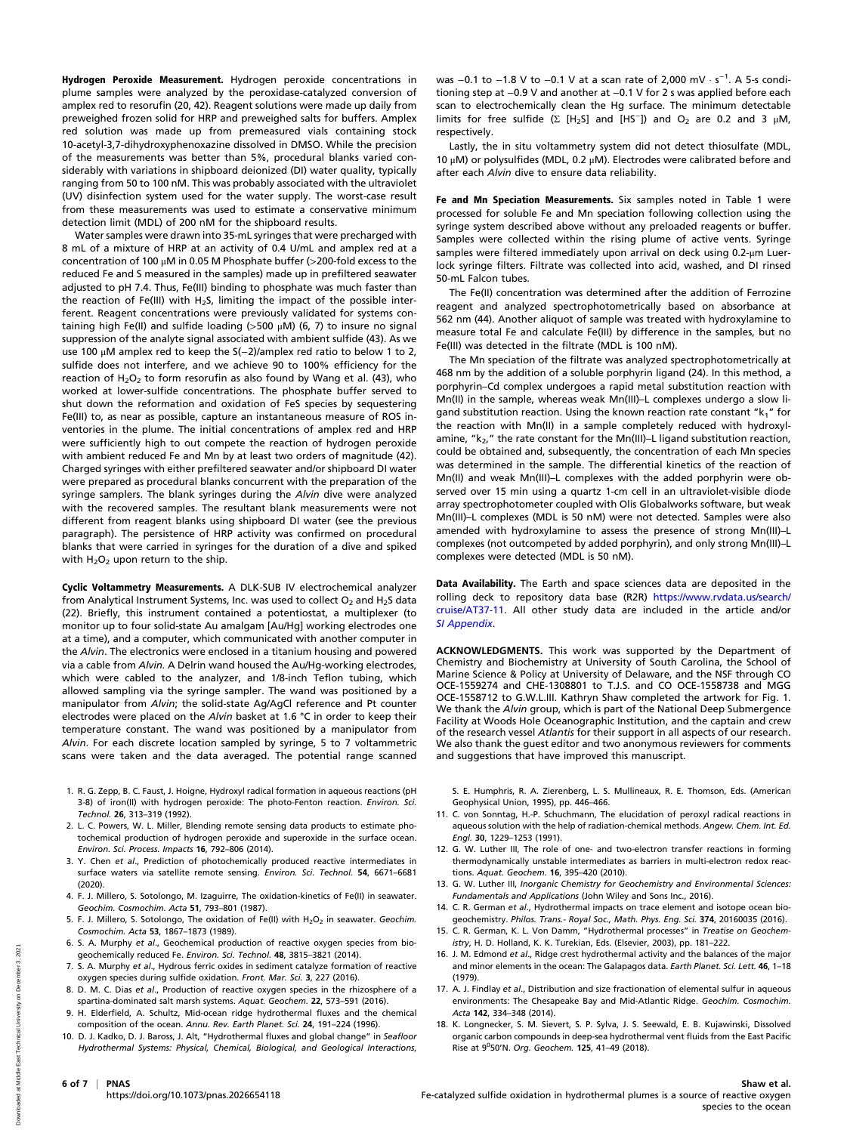Hydrogen Peroxide Measurement. Hydrogen peroxide concentrations in plume samples were analyzed by the peroxidase-catalyzed conversion of amplex red to resorufin (20, 42). Reagent solutions were made up daily from preweighed frozen solid for HRP and preweighed salts for buffers. Amplex red solution was made up from premeasured vials containing stock 10-acetyl-3,7-dihydroxyphenoxazine dissolved in DMSO. While the precision of the measurements was better than 5%, procedural blanks varied considerably with variations in shipboard deionized (DI) water quality, typically ranging from 50 to 100 nM. This was probably associated with the ultraviolet (UV) disinfection system used for the water supply. The worst-case result from these measurements was used to estimate a conservative minimum detection limit (MDL) of 200 nM for the shipboard results.

Water samples were drawn into 35-mL syringes that were precharged with 8 mL of a mixture of HRP at an activity of 0.4 U/mL and amplex red at a concentration of 100 μM in 0.05 M Phosphate buffer (>200-fold excess to the reduced Fe and S measured in the samples) made up in prefiltered seawater adjusted to pH 7.4. Thus, Fe(III) binding to phosphate was much faster than the reaction of Fe(III) with H<sub>2</sub>S, limiting the impact of the possible interferent. Reagent concentrations were previously validated for systems containing high Fe(II) and sulfide loading ( $>500 \mu$ M) (6, 7) to insure no signal suppression of the analyte signal associated with ambient sulfide (43). As we use 100 μM amplex red to keep the S(−2)/amplex red ratio to below 1 to 2, sulfide does not interfere, and we achieve 90 to 100% efficiency for the reaction of  $H_2O_2$  to form resorufin as also found by Wang et al. (43), who worked at lower-sulfide concentrations. The phosphate buffer served to shut down the reformation and oxidation of FeS species by sequestering Fe(III) to, as near as possible, capture an instantaneous measure of ROS inventories in the plume. The initial concentrations of amplex red and HRP were sufficiently high to out compete the reaction of hydrogen peroxide with ambient reduced Fe and Mn by at least two orders of magnitude (42). Charged syringes with either prefiltered seawater and/or shipboard DI water were prepared as procedural blanks concurrent with the preparation of the syringe samplers. The blank syringes during the Alvin dive were analyzed with the recovered samples. The resultant blank measurements were not different from reagent blanks using shipboard DI water (see the previous paragraph). The persistence of HRP activity was confirmed on procedural blanks that were carried in syringes for the duration of a dive and spiked with  $H_2O_2$  upon return to the ship.

Cyclic Voltammetry Measurements. A DLK-SUB IV electrochemical analyzer from Analytical Instrument Systems, Inc. was used to collect  $O_2$  and H<sub>2</sub>S data (22). Briefly, this instrument contained a potentiostat, a multiplexer (to monitor up to four solid-state Au amalgam [Au/Hg] working electrodes one at a time), and a computer, which communicated with another computer in the Alvin. The electronics were enclosed in a titanium housing and powered via a cable from Alvin. A Delrin wand housed the Au/Hg-working electrodes, which were cabled to the analyzer, and 1/8-inch Teflon tubing, which allowed sampling via the syringe sampler. The wand was positioned by a manipulator from Alvin; the solid-state Ag/AgCl reference and Pt counter electrodes were placed on the Alvin basket at 1.6 °C in order to keep their temperature constant. The wand was positioned by a manipulator from Alvin. For each discrete location sampled by syringe, 5 to 7 voltammetric scans were taken and the data averaged. The potential range scanned

- 1. R. G. Zepp, B. C. Faust, J. Hoigne, Hydroxyl radical formation in aqueous reactions (pH 3-8) of iron(II) with hydrogen peroxide: The photo-Fenton reaction. Environ. Sci. Technol. 26, 313–319 (1992).
- 2. L. C. Powers, W. L. Miller, Blending remote sensing data products to estimate photochemical production of hydrogen peroxide and superoxide in the surface ocean. Environ. Sci. Process. Impacts 16, 792–806 (2014).
- 3. Y. Chen et al., Prediction of photochemically produced reactive intermediates in surface waters via satellite remote sensing. Environ. Sci. Technol. 54, 6671–6681 (2020).
- 4. F. J. Millero, S. Sotolongo, M. Izaguirre, The oxidation-kinetics of Fe(II) in seawater. Geochim. Cosmochim. Acta 51, 793–801 (1987).
- 5. F. J. Millero, S. Sotolongo, The oxidation of Fe(II) with  $H_2O_2$  in seawater. Geochim. Cosmochim. Acta 53, 1867–1873 (1989).
- 6. S. A. Murphy et al., Geochemical production of reactive oxygen species from biogeochemically reduced Fe. Environ. Sci. Technol. 48, 3815–3821 (2014).
- 7. S. A. Murphy et al., Hydrous ferric oxides in sediment catalyze formation of reactive oxygen species during sulfide oxidation. Front. Mar. Sci. 3, 227 (2016).
- 8. D. M. C. Dias et al., Production of reactive oxygen species in the rhizosphere of a spartina-dominated salt marsh systems. Aquat. Geochem. 22, 573–591 (2016).
- 9. H. Elderfield, A. Schultz, Mid-ocean ridge hydrothermal fluxes and the chemical composition of the ocean. Annu. Rev. Earth Planet. Sci. 24, 191–224 (1996).
- 10. D. J. Kadko, D. J. Baross, J. Alt, "Hydrothermal fluxes and global change" in Seafloor Hydrothermal Systems: Physical, Chemical, Biological, and Geological Interactions,

was -0.1 to -1.8 V to -0.1 V at a scan rate of 2,000 mV · s<sup>-1</sup>. A 5-s conditioning step at −0.9 V and another at −0.1 V for 2 s was applied before each scan to electrochemically clean the Hg surface. The minimum detectable limits for free sulfide ( $\Sigma$  [H<sub>2</sub>S] and [HS<sup>-</sup>]) and O<sub>2</sub> are 0.2 and 3 µM, respectively.

Lastly, the in situ voltammetry system did not detect thiosulfate (MDL, 10 μM) or polysulfides (MDL, 0.2 μM). Electrodes were calibrated before and after each Alvin dive to ensure data reliability.

Fe and Mn Speciation Measurements. Six samples noted in Table 1 were processed for soluble Fe and Mn speciation following collection using the syringe system described above without any preloaded reagents or buffer. Samples were collected within the rising plume of active vents. Syringe samples were filtered immediately upon arrival on deck using 0.2-μm Luerlock syringe filters. Filtrate was collected into acid, washed, and DI rinsed 50-mL Falcon tubes.

The Fe(II) concentration was determined after the addition of Ferrozine reagent and analyzed spectrophotometrically based on absorbance at 562 nm (44). Another aliquot of sample was treated with hydroxylamine to measure total Fe and calculate Fe(III) by difference in the samples, but no Fe(III) was detected in the filtrate (MDL is 100 nM).

The Mn speciation of the filtrate was analyzed spectrophotometrically at 468 nm by the addition of a soluble porphyrin ligand (24). In this method, a porphyrin–Cd complex undergoes a rapid metal substitution reaction with Mn(II) in the sample, whereas weak Mn(III)–L complexes undergo a slow ligand substitution reaction. Using the known reaction rate constant " $k_1$ " for the reaction with Mn(II) in a sample completely reduced with hydroxylamine, " $k_2$ ," the rate constant for the Mn(III)–L ligand substitution reaction, could be obtained and, subsequently, the concentration of each Mn species was determined in the sample. The differential kinetics of the reaction of Mn(II) and weak Mn(III)–L complexes with the added porphyrin were observed over 15 min using a quartz 1-cm cell in an ultraviolet-visible diode array spectrophotometer coupled with Olis Globalworks software, but weak Mn(III)–L complexes (MDL is 50 nM) were not detected. Samples were also amended with hydroxylamine to assess the presence of strong Mn(III)–L complexes (not outcompeted by added porphyrin), and only strong Mn(III)–L complexes were detected (MDL is 50 nM).

Data Availability. The Earth and space sciences data are deposited in the rolling deck to repository data base (R2R) [https://www.rvdata.us/search/](https://www.rvdata.us/search/cruise/AT37-11) [cruise/AT37-11](https://www.rvdata.us/search/cruise/AT37-11). All other study data are included in the article and/or [SI Appendix](https://www.pnas.org/lookup/suppl/doi:10.1073/pnas.2026654118/-/DCSupplemental).

ACKNOWLEDGMENTS. This work was supported by the Department of Chemistry and Biochemistry at University of South Carolina, the School of Marine Science & Policy at University of Delaware, and the NSF through CO OCE-1559274 and CHE-1308801 to T.J.S. and CO OCE-1558738 and MGG OCE-1558712 to G.W.L.III. Kathryn Shaw completed the artwork for Fig. 1. We thank the Alvin group, which is part of the National Deep Submergence Facility at Woods Hole Oceanographic Institution, and the captain and crew of the research vessel Atlantis for their support in all aspects of our research. We also thank the guest editor and two anonymous reviewers for comments and suggestions that have improved this manuscript.

S. E. Humphris, R. A. Zierenberg, L. S. Mullineaux, R. E. Thomson, Eds. (American Geophysical Union, 1995), pp. 446–466.

- 11. C. von Sonntag, H.-P. Schuchmann, The elucidation of peroxyl radical reactions in aqueous solution with the help of radiation-chemical methods. Angew. Chem. Int. Ed. Engl. 30, 1229–1253 (1991).
- 12. G. W. Luther III, The role of one- and two-electron transfer reactions in forming thermodynamically unstable intermediates as barriers in multi-electron redox reactions. Aquat. Geochem. 16, 395–420 (2010).
- 13. G. W. Luther III, Inorganic Chemistry for Geochemistry and Environmental Sciences: Fundamentals and Applications (John Wiley and Sons Inc., 2016).
- 14. C. R. German et al., Hydrothermal impacts on trace element and isotope ocean biogeochemistry. Philos. Trans.- Royal Soc., Math. Phys. Eng. Sci. 374, 20160035 (2016).
- 15. C. R. German, K. L. Von Damm, "Hydrothermal processes" in Treatise on Geochemistry, H. D. Holland, K. K. Turekian, Eds. (Elsevier, 2003), pp. 181–222.
- 16. J. M. Edmond et al., Ridge crest hydrothermal activity and the balances of the major and minor elements in the ocean: The Galapagos data. Earth Planet. Sci. Lett. 46, 1-18 (1979).
- 17. A. J. Findlay et al., Distribution and size fractionation of elemental sulfur in aqueous environments: The Chesapeake Bay and Mid-Atlantic Ridge. Geochim. Cosmochim. Acta 142, 334–348 (2014).
- 18. K. Longnecker, S. M. Sievert, S. P. Sylva, J. S. Seewald, E. B. Kujawinski, Dissolved organic carbon compounds in deep-sea hydrothermal vent fluids from the East Pacific Rise at 9<sup>0</sup>50'N. Org. Geochem. 125, 41-49 (2018).